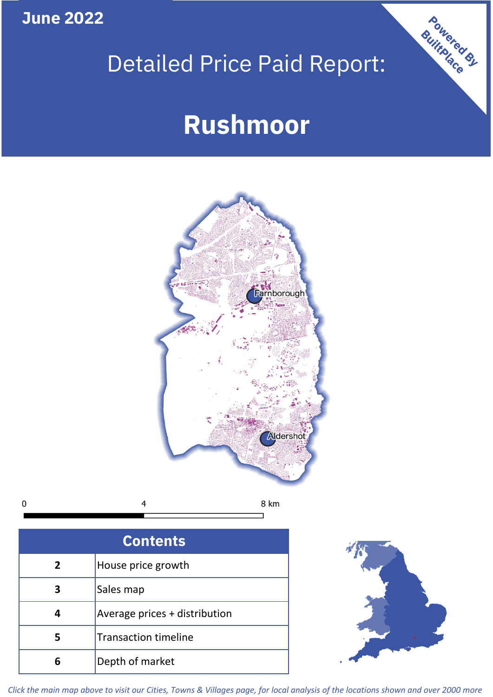**June 2022**

# Detailed Price Paid Report:

# **Rushmoor**



 $\mathbf 0$ 8 km 4

| <b>Contents</b> |                               |  |  |
|-----------------|-------------------------------|--|--|
| $\overline{2}$  | House price growth            |  |  |
| 3               | Sales map                     |  |  |
|                 | Average prices + distribution |  |  |
| 5               | <b>Transaction timeline</b>   |  |  |
|                 | Depth of market               |  |  |



Powered By

*Click the main map above to visit our Cities, Towns & Villages page, for local analysis of the locations shown and over 2000 more*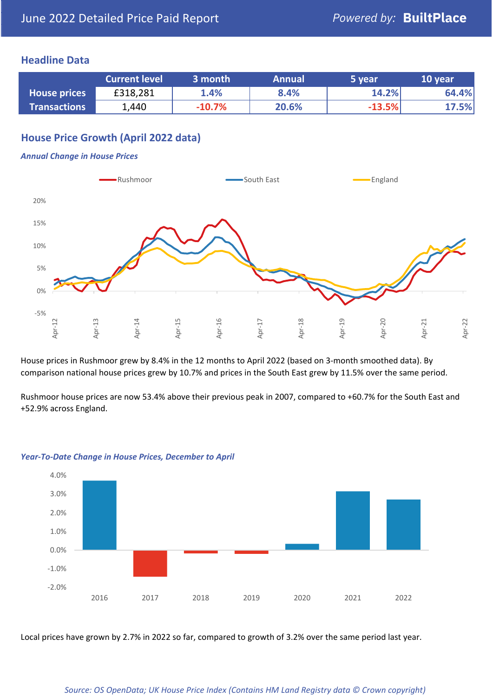#### **Headline Data**

|                     | <b>Current level</b> | 3 month  | <b>Annual</b> | 5 year   | 10 year |
|---------------------|----------------------|----------|---------------|----------|---------|
| <b>House prices</b> | £318,281             | 1.4%     | 8.4%          | 14.2%    | 64.4%   |
| <b>Transactions</b> | 1,440                | $-10.7%$ | 20.6%         | $-13.5%$ | 17.5%   |

# **House Price Growth (April 2022 data)**

#### *Annual Change in House Prices*



House prices in Rushmoor grew by 8.4% in the 12 months to April 2022 (based on 3-month smoothed data). By comparison national house prices grew by 10.7% and prices in the South East grew by 11.5% over the same period.

Rushmoor house prices are now 53.4% above their previous peak in 2007, compared to +60.7% for the South East and +52.9% across England.



#### *Year-To-Date Change in House Prices, December to April*

Local prices have grown by 2.7% in 2022 so far, compared to growth of 3.2% over the same period last year.

#### *Source: OS OpenData; UK House Price Index (Contains HM Land Registry data © Crown copyright)*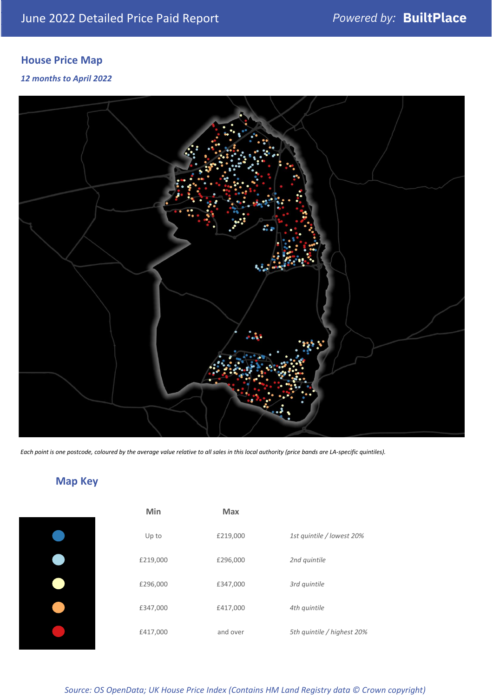# **House Price Map**

#### *12 months to April 2022*



*Each point is one postcode, coloured by the average value relative to all sales in this local authority (price bands are LA-specific quintiles).*

**Map Key**

| Min      | <b>Max</b> |                            |
|----------|------------|----------------------------|
| Up to    | £219,000   | 1st quintile / lowest 20%  |
| £219,000 | £296,000   | 2nd quintile               |
| £296,000 | £347,000   | 3rd quintile               |
| £347,000 | £417,000   | 4th quintile               |
| £417,000 | and over   | 5th quintile / highest 20% |

#### *Source: OS OpenData; UK House Price Index (Contains HM Land Registry data © Crown copyright)*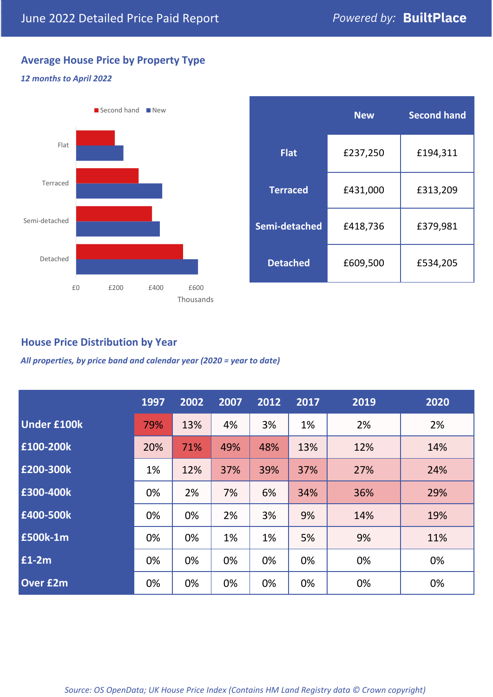# **Average House Price by Property Type**

#### *12 months to April 2022*



|                 | <b>New</b> | <b>Second hand</b> |  |  |
|-----------------|------------|--------------------|--|--|
| <b>Flat</b>     | £237,250   | £194,311           |  |  |
| <b>Terraced</b> | £431,000   | £313,209           |  |  |
| Semi-detached   | £418,736   | £379,981           |  |  |
| <b>Detached</b> | £609,500   | £534,205           |  |  |

## **House Price Distribution by Year**

*All properties, by price band and calendar year (2020 = year to date)*

|                    | 1997 | 2002 | 2007 | 2012 | 2017 | 2019 | 2020 |
|--------------------|------|------|------|------|------|------|------|
| <b>Under £100k</b> | 79%  | 13%  | 4%   | 3%   | 1%   | 2%   | 2%   |
| £100-200k          | 20%  | 71%  | 49%  | 48%  | 13%  | 12%  | 14%  |
| £200-300k          | 1%   | 12%  | 37%  | 39%  | 37%  | 27%  | 24%  |
| £300-400k          | 0%   | 2%   | 7%   | 6%   | 34%  | 36%  | 29%  |
| £400-500k          | 0%   | 0%   | 2%   | 3%   | 9%   | 14%  | 19%  |
| <b>£500k-1m</b>    | 0%   | 0%   | 1%   | 1%   | 5%   | 9%   | 11%  |
| £1-2m              | 0%   | 0%   | 0%   | 0%   | 0%   | 0%   | 0%   |
| <b>Over £2m</b>    | 0%   | 0%   | 0%   | 0%   | 0%   | 0%   | 0%   |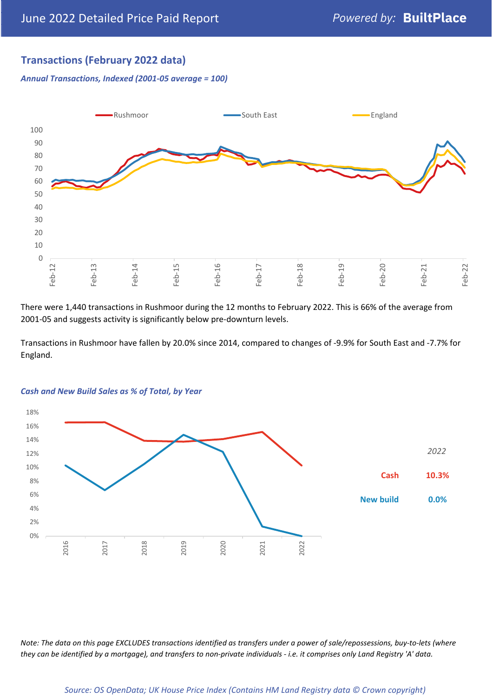# **Transactions (February 2022 data)**

*Annual Transactions, Indexed (2001-05 average = 100)*



There were 1,440 transactions in Rushmoor during the 12 months to February 2022. This is 66% of the average from 2001-05 and suggests activity is significantly below pre-downturn levels.

Transactions in Rushmoor have fallen by 20.0% since 2014, compared to changes of -9.9% for South East and -7.7% for England.



#### *Cash and New Build Sales as % of Total, by Year*

*Note: The data on this page EXCLUDES transactions identified as transfers under a power of sale/repossessions, buy-to-lets (where they can be identified by a mortgage), and transfers to non-private individuals - i.e. it comprises only Land Registry 'A' data.*